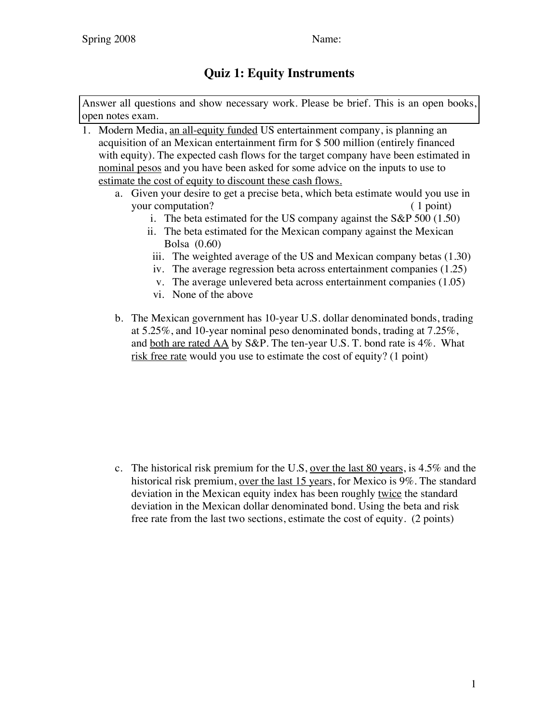## **Quiz 1: Equity Instruments**

Answer all questions and show necessary work. Please be brief. This is an open books, open notes exam.

- 1. Modern Media, an all-equity funded US entertainment company, is planning an acquisition of an Mexican entertainment firm for \$ 500 million (entirely financed with equity). The expected cash flows for the target company have been estimated in nominal pesos and you have been asked for some advice on the inputs to use to estimate the cost of equity to discount these cash flows.
	- a. Given your desire to get a precise beta, which beta estimate would you use in your computation? (1 point)
		- i. The beta estimated for the US company against the S&P 500 (1.50)
		- ii. The beta estimated for the Mexican company against the Mexican Bolsa (0.60)
		- iii. The weighted average of the US and Mexican company betas (1.30)
		- iv. The average regression beta across entertainment companies (1.25)
		- v. The average unlevered beta across entertainment companies (1.05)
		- vi. None of the above
	- b. The Mexican government has 10-year U.S. dollar denominated bonds, trading at 5.25%, and 10-year nominal peso denominated bonds, trading at 7.25%, and both are rated AA by S&P. The ten-year U.S. T. bond rate is 4%. What risk free rate would you use to estimate the cost of equity? (1 point)

c. The historical risk premium for the U.S, over the last 80 years, is 4.5% and the historical risk premium, over the last 15 years, for Mexico is 9%. The standard deviation in the Mexican equity index has been roughly twice the standard deviation in the Mexican dollar denominated bond. Using the beta and risk free rate from the last two sections, estimate the cost of equity. (2 points)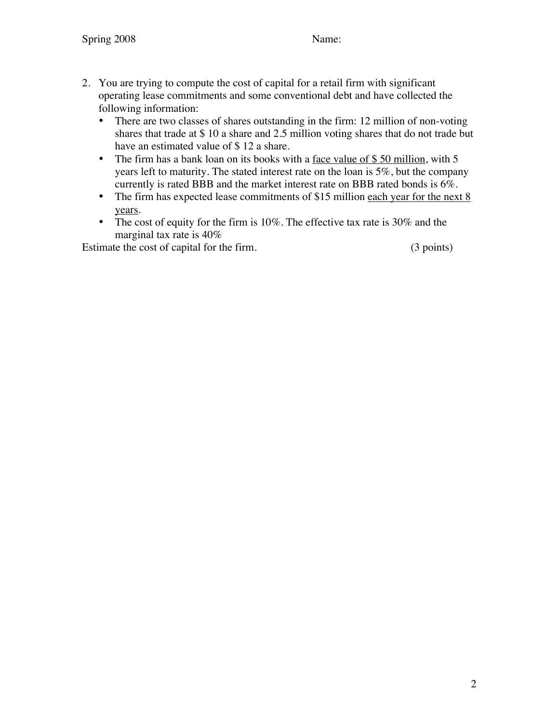- 2. You are trying to compute the cost of capital for a retail firm with significant operating lease commitments and some conventional debt and have collected the following information:
	- There are two classes of shares outstanding in the firm: 12 million of non-voting shares that trade at \$ 10 a share and 2.5 million voting shares that do not trade but have an estimated value of \$12 a share.
	- The firm has a bank loan on its books with a face value of \$50 million, with 5 years left to maturity. The stated interest rate on the loan is 5%, but the company currently is rated BBB and the market interest rate on BBB rated bonds is 6%.
	- The firm has expected lease commitments of \$15 million each year for the next 8 years.
	- The cost of equity for the firm is 10%. The effective tax rate is 30% and the marginal tax rate is 40%

Estimate the cost of capital for the firm. (3 points)